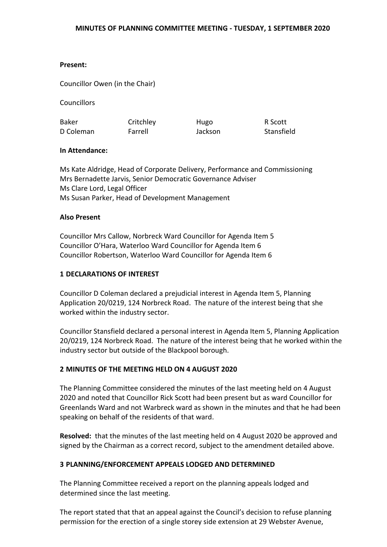# **Present:**

Councillor Owen (in the Chair)

**Councillors** 

| <b>Baker</b> | Critchley | Hugo    | R Scott    |
|--------------|-----------|---------|------------|
| D Coleman    | Farrell   | Jackson | Stansfield |

# **In Attendance:**

Ms Kate Aldridge, Head of Corporate Delivery, Performance and Commissioning Mrs Bernadette Jarvis, Senior Democratic Governance Adviser Ms Clare Lord, Legal Officer Ms Susan Parker, Head of Development Management

# **Also Present**

Councillor Mrs Callow, Norbreck Ward Councillor for Agenda Item 5 Councillor O'Hara, Waterloo Ward Councillor for Agenda Item 6 Councillor Robertson, Waterloo Ward Councillor for Agenda Item 6

# **1 DECLARATIONS OF INTEREST**

Councillor D Coleman declared a prejudicial interest in Agenda Item 5, Planning Application 20/0219, 124 Norbreck Road. The nature of the interest being that she worked within the industry sector.

Councillor Stansfield declared a personal interest in Agenda Item 5, Planning Application 20/0219, 124 Norbreck Road. The nature of the interest being that he worked within the industry sector but outside of the Blackpool borough.

# **2 MINUTES OF THE MEETING HELD ON 4 AUGUST 2020**

The Planning Committee considered the minutes of the last meeting held on 4 August 2020 and noted that Councillor Rick Scott had been present but as ward Councillor for Greenlands Ward and not Warbreck ward as shown in the minutes and that he had been speaking on behalf of the residents of that ward.

**Resolved:** that the minutes of the last meeting held on 4 August 2020 be approved and signed by the Chairman as a correct record, subject to the amendment detailed above.

# **3 PLANNING/ENFORCEMENT APPEALS LODGED AND DETERMINED**

The Planning Committee received a report on the planning appeals lodged and determined since the last meeting.

The report stated that that an appeal against the Council's decision to refuse planning permission for the erection of a single storey side extension at 29 Webster Avenue,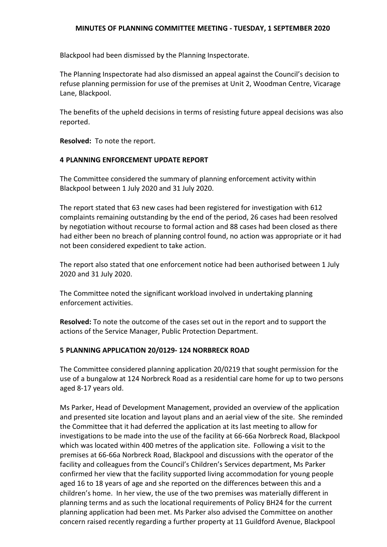### **MINUTES OF PLANNING COMMITTEE MEETING - TUESDAY, 1 SEPTEMBER 2020**

Blackpool had been dismissed by the Planning Inspectorate.

The Planning Inspectorate had also dismissed an appeal against the Council's decision to refuse planning permission for use of the premises at Unit 2, Woodman Centre, Vicarage Lane, Blackpool.

The benefits of the upheld decisions in terms of resisting future appeal decisions was also reported.

**Resolved:** To note the report.

# **4 PLANNING ENFORCEMENT UPDATE REPORT**

The Committee considered the summary of planning enforcement activity within Blackpool between 1 July 2020 and 31 July 2020.

The report stated that 63 new cases had been registered for investigation with 612 complaints remaining outstanding by the end of the period, 26 cases had been resolved by negotiation without recourse to formal action and 88 cases had been closed as there had either been no breach of planning control found, no action was appropriate or it had not been considered expedient to take action.

The report also stated that one enforcement notice had been authorised between 1 July 2020 and 31 July 2020.

The Committee noted the significant workload involved in undertaking planning enforcement activities.

**Resolved:** To note the outcome of the cases set out in the report and to support the actions of the Service Manager, Public Protection Department.

# **5 PLANNING APPLICATION 20/0129- 124 NORBRECK ROAD**

The Committee considered planning application 20/0219 that sought permission for the use of a bungalow at 124 Norbreck Road as a residential care home for up to two persons aged 8-17 years old.

Ms Parker, Head of Development Management, provided an overview of the application and presented site location and layout plans and an aerial view of the site. She reminded the Committee that it had deferred the application at its last meeting to allow for investigations to be made into the use of the facility at 66-66a Norbreck Road, Blackpool which was located within 400 metres of the application site. Following a visit to the premises at 66-66a Norbreck Road, Blackpool and discussions with the operator of the facility and colleagues from the Council's Children's Services department, Ms Parker confirmed her view that the facility supported living accommodation for young people aged 16 to 18 years of age and she reported on the differences between this and a children's home. In her view, the use of the two premises was materially different in planning terms and as such the locational requirements of Policy BH24 for the current planning application had been met. Ms Parker also advised the Committee on another concern raised recently regarding a further property at 11 Guildford Avenue, Blackpool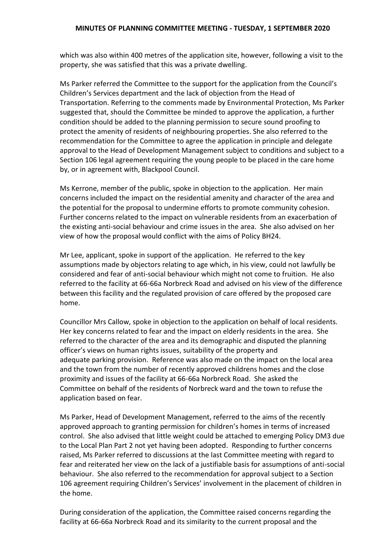which was also within 400 metres of the application site, however, following a visit to the property, she was satisfied that this was a private dwelling.

Ms Parker referred the Committee to the support for the application from the Council's Children's Services department and the lack of objection from the Head of Transportation. Referring to the comments made by Environmental Protection, Ms Parker suggested that, should the Committee be minded to approve the application, a further condition should be added to the planning permission to secure sound proofing to protect the amenity of residents of neighbouring properties. She also referred to the recommendation for the Committee to agree the application in principle and delegate approval to the Head of Development Management subject to conditions and subject to a Section 106 legal agreement requiring the young people to be placed in the care home by, or in agreement with, Blackpool Council.

Ms Kerrone, member of the public, spoke in objection to the application. Her main concerns included the impact on the residential amenity and character of the area and the potential for the proposal to undermine efforts to promote community cohesion. Further concerns related to the impact on vulnerable residents from an exacerbation of the existing anti-social behaviour and crime issues in the area. She also advised on her view of how the proposal would conflict with the aims of Policy BH24.

Mr Lee, applicant, spoke in support of the application. He referred to the key assumptions made by objectors relating to age which, in his view, could not lawfully be considered and fear of anti-social behaviour which might not come to fruition. He also referred to the facility at 66-66a Norbreck Road and advised on his view of the difference between this facility and the regulated provision of care offered by the proposed care home.

Councillor Mrs Callow, spoke in objection to the application on behalf of local residents. Her key concerns related to fear and the impact on elderly residents in the area. She referred to the character of the area and its demographic and disputed the planning officer's views on human rights issues, suitability of the property and adequate parking provision. Reference was also made on the impact on the local area and the town from the number of recently approved childrens homes and the close proximity and issues of the facility at 66-66a Norbreck Road. She asked the Committee on behalf of the residents of Norbreck ward and the town to refuse the application based on fear.

Ms Parker, Head of Development Management, referred to the aims of the recently approved approach to granting permission for children's homes in terms of increased control. She also advised that little weight could be attached to emerging Policy DM3 due to the Local Plan Part 2 not yet having been adopted. Responding to further concerns raised, Ms Parker referred to discussions at the last Committee meeting with regard to fear and reiterated her view on the lack of a justifiable basis for assumptions of anti-social behaviour. She also referred to the recommendation for approval subject to a Section 106 agreement requiring Children's Services' involvement in the placement of children in the home.

During consideration of the application, the Committee raised concerns regarding the facility at 66-66a Norbreck Road and its similarity to the current proposal and the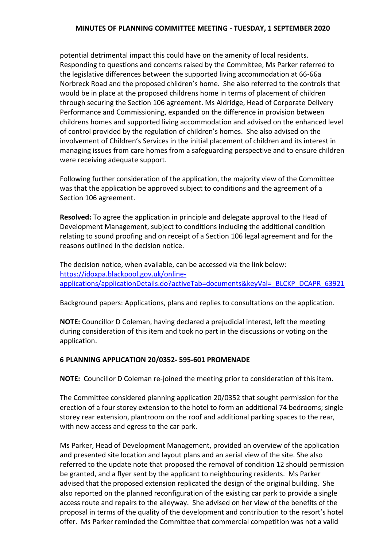### **MINUTES OF PLANNING COMMITTEE MEETING - TUESDAY, 1 SEPTEMBER 2020**

potential detrimental impact this could have on the amenity of local residents. Responding to questions and concerns raised by the Committee, Ms Parker referred to the legislative differences between the supported living accommodation at 66-66a Norbreck Road and the proposed children's home. She also referred to the controls that would be in place at the proposed childrens home in terms of placement of children through securing the Section 106 agreement. Ms Aldridge, Head of Corporate Delivery Performance and Commissioning, expanded on the difference in provision between childrens homes and supported living accommodation and advised on the enhanced level of control provided by the regulation of children's homes. She also advised on the involvement of Children's Services in the initial placement of children and its interest in managing issues from care homes from a safeguarding perspective and to ensure children were receiving adequate support.

Following further consideration of the application, the majority view of the Committee was that the application be approved subject to conditions and the agreement of a Section 106 agreement.

**Resolved:** To agree the application in principle and delegate approval to the Head of Development Management, subject to conditions including the additional condition relating to sound proofing and on receipt of a Section 106 legal agreement and for the reasons outlined in the decision notice.

The decision notice, when available, can be accessed via the link below: [https://idoxpa.blackpool.gov.uk/online](https://idoxpa.blackpool.gov.uk/online-applications/applicationDetails.do?activeTab=documents&keyVal=_BLCKP_DCAPR_63921)[applications/applicationDetails.do?activeTab=documents&keyVal=\\_BLCKP\\_DCAPR\\_63921](https://idoxpa.blackpool.gov.uk/online-applications/applicationDetails.do?activeTab=documents&keyVal=_BLCKP_DCAPR_63921)

Background papers: Applications, plans and replies to consultations on the application.

**NOTE:** Councillor D Coleman, having declared a prejudicial interest, left the meeting during consideration of this item and took no part in the discussions or voting on the application.

# **6 PLANNING APPLICATION 20/0352- 595-601 PROMENADE**

**NOTE:** Councillor D Coleman re-joined the meeting prior to consideration of this item.

The Committee considered planning application 20/0352 that sought permission for the erection of a four storey extension to the hotel to form an additional 74 bedrooms; single storey rear extension, plantroom on the roof and additional parking spaces to the rear, with new access and egress to the car park.

Ms Parker, Head of Development Management, provided an overview of the application and presented site location and layout plans and an aerial view of the site. She also referred to the update note that proposed the removal of condition 12 should permission be granted, and a flyer sent by the applicant to neighbouring residents. Ms Parker advised that the proposed extension replicated the design of the original building. She also reported on the planned reconfiguration of the existing car park to provide a single access route and repairs to the alleyway. She advised on her view of the benefits of the proposal in terms of the quality of the development and contribution to the resort's hotel offer. Ms Parker reminded the Committee that commercial competition was not a valid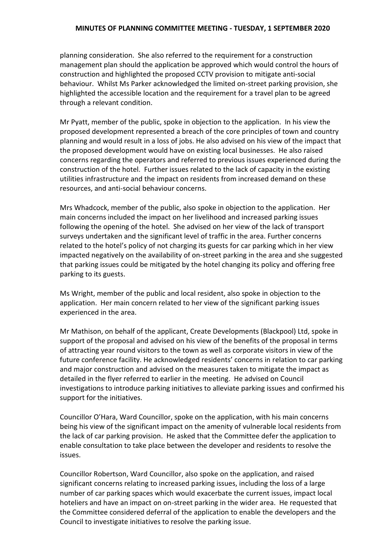### **MINUTES OF PLANNING COMMITTEE MEETING - TUESDAY, 1 SEPTEMBER 2020**

planning consideration. She also referred to the requirement for a construction management plan should the application be approved which would control the hours of construction and highlighted the proposed CCTV provision to mitigate anti-social behaviour. Whilst Ms Parker acknowledged the limited on-street parking provision, she highlighted the accessible location and the requirement for a travel plan to be agreed through a relevant condition.

Mr Pyatt, member of the public, spoke in objection to the application. In his view the proposed development represented a breach of the core principles of town and country planning and would result in a loss of jobs. He also advised on his view of the impact that the proposed development would have on existing local businesses. He also raised concerns regarding the operators and referred to previous issues experienced during the construction of the hotel. Further issues related to the lack of capacity in the existing utilities infrastructure and the impact on residents from increased demand on these resources, and anti-social behaviour concerns.

Mrs Whadcock, member of the public, also spoke in objection to the application. Her main concerns included the impact on her livelihood and increased parking issues following the opening of the hotel. She advised on her view of the lack of transport surveys undertaken and the significant level of traffic in the area. Further concerns related to the hotel's policy of not charging its guests for car parking which in her view impacted negatively on the availability of on-street parking in the area and she suggested that parking issues could be mitigated by the hotel changing its policy and offering free parking to its guests.

Ms Wright, member of the public and local resident, also spoke in objection to the application. Her main concern related to her view of the significant parking issues experienced in the area.

Mr Mathison, on behalf of the applicant, Create Developments (Blackpool) Ltd, spoke in support of the proposal and advised on his view of the benefits of the proposal in terms of attracting year round visitors to the town as well as corporate visitors in view of the future conference facility. He acknowledged residents' concerns in relation to car parking and major construction and advised on the measures taken to mitigate the impact as detailed in the flyer referred to earlier in the meeting. He advised on Council investigations to introduce parking initiatives to alleviate parking issues and confirmed his support for the initiatives.

Councillor O'Hara, Ward Councillor, spoke on the application, with his main concerns being his view of the significant impact on the amenity of vulnerable local residents from the lack of car parking provision. He asked that the Committee defer the application to enable consultation to take place between the developer and residents to resolve the issues.

Councillor Robertson, Ward Councillor, also spoke on the application, and raised significant concerns relating to increased parking issues, including the loss of a large number of car parking spaces which would exacerbate the current issues, impact local hoteliers and have an impact on on-street parking in the wider area. He requested that the Committee considered deferral of the application to enable the developers and the Council to investigate initiatives to resolve the parking issue.